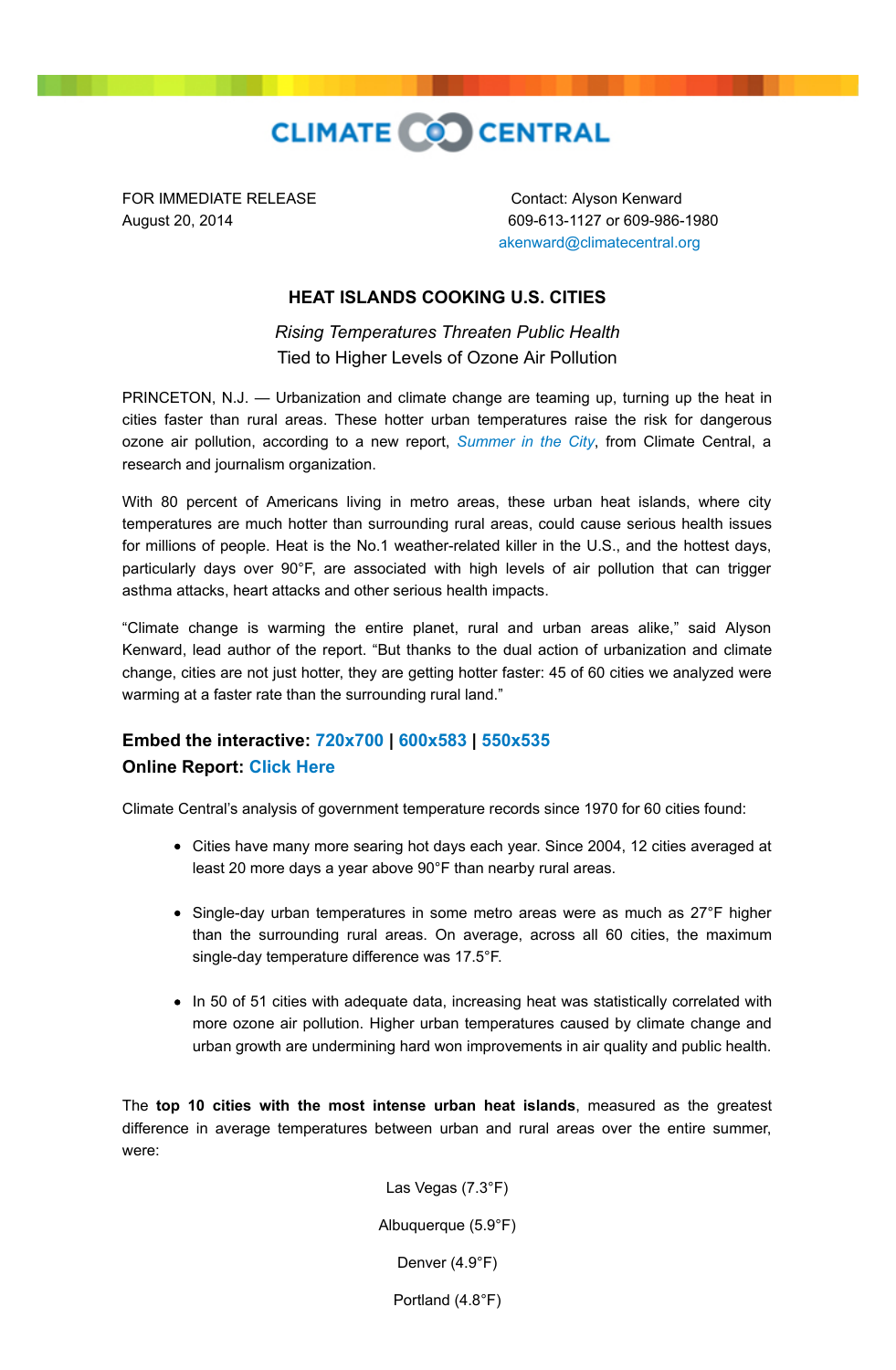

FOR IMMEDIATE RELEASE Contact: Alyson Kenward

August 20, 2014 609-613-1127 or 609-986-1980 [akenward@climatecentral.org](mailto:akenward@climatecentral.org)

## **HEAT ISLANDS COOKING U.S. CITIES**

*Rising Temperatures Threaten Public Health* Tied to Higher Levels of Ozone Air Pollution

PRINCETON, N.J. - Urbanization and climate change are teaming up, turning up the heat in cities faster than rural areas. These hotter urban temperatures raise the risk for dangerous ozone air pollution, according to a new report, *[Summer in the City](http://www.climatecentral.org/news/urban-heat-islands-threaten-u.s.-health-17919)*, from Climate Central, a research and journalism organization.

With 80 percent of Americans living in metro areas, these urban heat islands, where city temperatures are much hotter than surrounding rural areas, could cause serious health issues for millions of people. Heat is the No.1 weather-related killer in the U.S., and the hottest days, particularly days over 90°F, are associated with high levels of air pollution that can trigger asthma attacks, heart attacks and other serious health impacts.

"Climate change is warming the entire planet, rural and urban areas alike," said Alyson Kenward, lead author of the report. "But thanks to the dual action of urbanization and climate change, cities are not just hotter, they are getting hotter faster: 45 of 60 cities we analyzed were warming at a faster rate than the surrounding rural land."

## **Embed the interactive: [720x700](http://www.climatecentral.org/wgts/UHI/UHI-720x700.txt) | [600x583](http://www.climatecentral.org/wgts/UHI/UHI-600x583.txt) | [550x535](http://www.climatecentral.org/wgts/UHI/UHI-550x535.txt) Online Report: [Click Here](http://www.climatecentral.org/news/urban-heat-islands-threaten-u.s.-health-17919)**

Climate Central's analysis of government temperature records since 1970 for 60 cities found:

- Cities have many more searing hot days each year. Since 2004, 12 cities averaged at least 20 more days a year above 90°F than nearby rural areas.
- Single-day urban temperatures in some metro areas were as much as 27°F higher than the surrounding rural areas. On average, across all 60 cities, the maximum single-day temperature difference was 17.5°F.
- In 50 of 51 cities with adequate data, increasing heat was statistically correlated with more ozone air pollution. Higher urban temperatures caused by climate change and urban growth are undermining hard won improvements in air quality and public health.

The **top 10 cities with the most intense urban heat islands**, measured as the greatest difference in average temperatures between urban and rural areas over the entire summer, were:

> Las Vegas (7.3°F) Albuquerque (5.9°F) Denver (4.9°F) Portland (4.8°F)